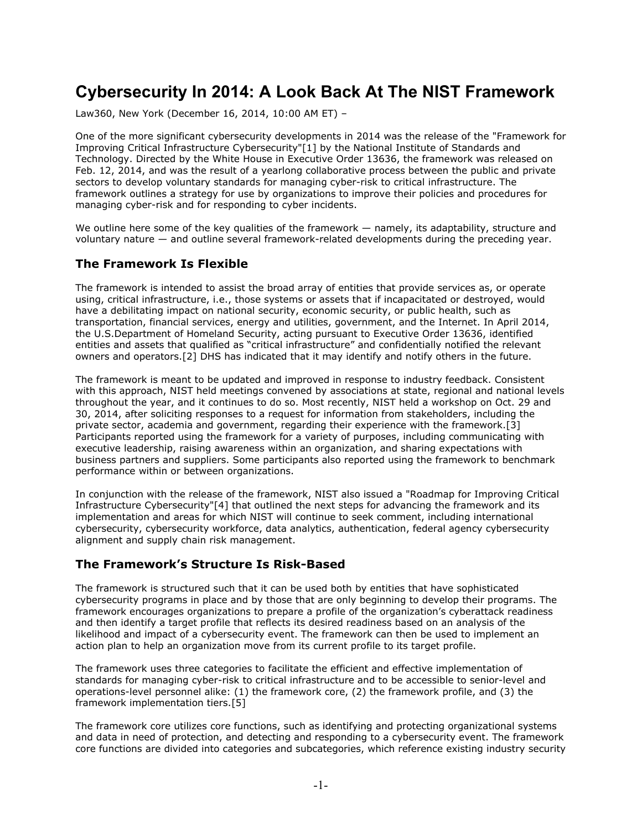# **Cybersecurity In 2014: A Look Back At The NIST Framework**

Law360, New York (December 16, 2014, 10:00 AM ET) –

One of the more significant cybersecurity developments in 2014 was the release of the "Framework for Improving Critical Infrastructure Cybersecurity"[1] by the National Institute of Standards and Technology. Directed by the White House in Executive Order 13636, the framework was released on Feb. 12, 2014, and was the result of a yearlong collaborative process between the public and private sectors to develop voluntary standards for managing cyber-risk to critical infrastructure. The framework outlines a strategy for use by organizations to improve their policies and procedures for managing cyber-risk and for responding to cyber incidents.

We outline here some of the key qualities of the framework — namely, its adaptability, structure and voluntary nature — and outline several framework-related developments during the preceding year.

#### **The Framework Is Flexible**

The framework is intended to assist the broad array of entities that provide services as, or operate using, critical infrastructure, i.e., those systems or assets that if incapacitated or destroyed, would have a debilitating impact on national security, economic security, or public health, such as transportation, financial services, energy and utilities, government, and the Internet. In April 2014, the U.S.Department of Homeland Security, acting pursuant to Executive Order 13636, identified entities and assets that qualified as "critical infrastructure" and confidentially notified the relevant owners and operators.[2] DHS has indicated that it may identify and notify others in the future.

The framework is meant to be updated and improved in response to industry feedback. Consistent with this approach, NIST held meetings convened by associations at state, regional and national levels throughout the year, and it continues to do so. Most recently, NIST held a workshop on Oct. 29 and 30, 2014, after soliciting responses to a request for information from stakeholders, including the private sector, academia and government, regarding their experience with the framework.[3] Participants reported using the framework for a variety of purposes, including communicating with executive leadership, raising awareness within an organization, and sharing expectations with business partners and suppliers. Some participants also reported using the framework to benchmark performance within or between organizations.

In conjunction with the release of the framework, NIST also issued a "Roadmap for Improving Critical Infrastructure Cybersecurity"[4] that outlined the next steps for advancing the framework and its implementation and areas for which NIST will continue to seek comment, including international cybersecurity, cybersecurity workforce, data analytics, authentication, federal agency cybersecurity alignment and supply chain risk management.

### **The Framework's Structure Is Risk-Based**

The framework is structured such that it can be used both by entities that have sophisticated cybersecurity programs in place and by those that are only beginning to develop their programs. The framework encourages organizations to prepare a profile of the organization's cyberattack readiness and then identify a target profile that reflects its desired readiness based on an analysis of the likelihood and impact of a cybersecurity event. The framework can then be used to implement an action plan to help an organization move from its current profile to its target profile.

The framework uses three categories to facilitate the efficient and effective implementation of standards for managing cyber-risk to critical infrastructure and to be accessible to senior-level and operations-level personnel alike: (1) the framework core, (2) the framework profile, and (3) the framework implementation tiers.[5]

The framework core utilizes core functions, such as identifying and protecting organizational systems and data in need of protection, and detecting and responding to a cybersecurity event. The framework core functions are divided into categories and subcategories, which reference existing industry security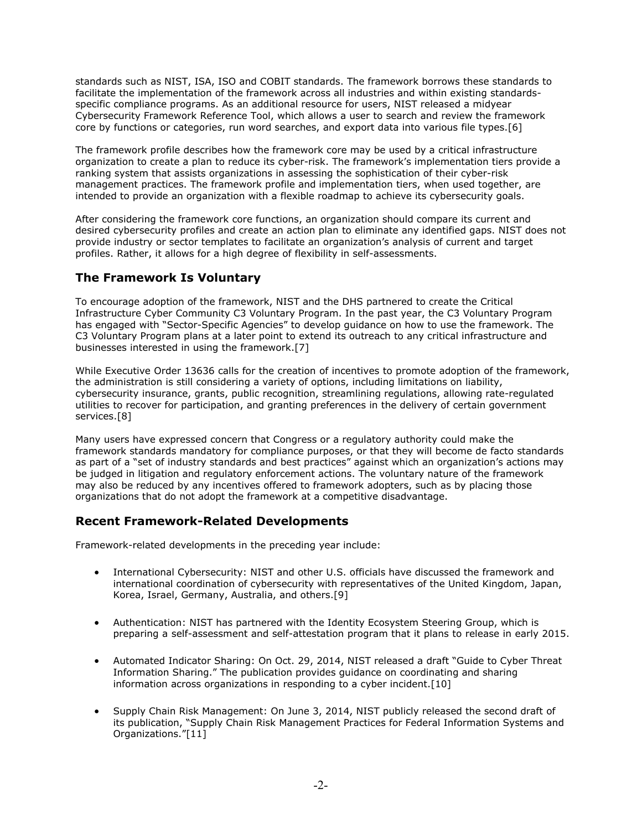standards such as NIST, ISA, ISO and COBIT standards. The framework borrows these standards to facilitate the implementation of the framework across all industries and within existing standardsspecific compliance programs. As an additional resource for users, NIST released a midyear Cybersecurity Framework Reference Tool, which allows a user to search and review the framework core by functions or categories, run word searches, and export data into various file types.[6]

The framework profile describes how the framework core may be used by a critical infrastructure organization to create a plan to reduce its cyber-risk. The framework's implementation tiers provide a ranking system that assists organizations in assessing the sophistication of their cyber-risk management practices. The framework profile and implementation tiers, when used together, are intended to provide an organization with a flexible roadmap to achieve its cybersecurity goals.

After considering the framework core functions, an organization should compare its current and desired cybersecurity profiles and create an action plan to eliminate any identified gaps. NIST does not provide industry or sector templates to facilitate an organization's analysis of current and target profiles. Rather, it allows for a high degree of flexibility in self-assessments.

## **The Framework Is Voluntary**

To encourage adoption of the framework, NIST and the DHS partnered to create the Critical Infrastructure Cyber Community C3 Voluntary Program. In the past year, the C3 Voluntary Program has engaged with "Sector-Specific Agencies" to develop guidance on how to use the framework. The C3 Voluntary Program plans at a later point to extend its outreach to any critical infrastructure and businesses interested in using the framework.[7]

While Executive Order 13636 calls for the creation of incentives to promote adoption of the framework, the administration is still considering a variety of options, including limitations on liability, cybersecurity insurance, grants, public recognition, streamlining regulations, allowing rate-regulated utilities to recover for participation, and granting preferences in the delivery of certain government services.[8]

Many users have expressed concern that Congress or a regulatory authority could make the framework standards mandatory for compliance purposes, or that they will become de facto standards as part of a "set of industry standards and best practices" against which an organization's actions may be judged in litigation and regulatory enforcement actions. The voluntary nature of the framework may also be reduced by any incentives offered to framework adopters, such as by placing those organizations that do not adopt the framework at a competitive disadvantage.

### **Recent Framework-Related Developments**

Framework-related developments in the preceding year include:

- International Cybersecurity: NIST and other U.S. officials have discussed the framework and international coordination of cybersecurity with representatives of the United Kingdom, Japan, Korea, Israel, Germany, Australia, and others.[9]
- Authentication: NIST has partnered with the Identity Ecosystem Steering Group, which is preparing a self-assessment and self-attestation program that it plans to release in early 2015.
- Automated Indicator Sharing: On Oct. 29, 2014, NIST released a draft "Guide to Cyber Threat Information Sharing." The publication provides guidance on coordinating and sharing information across organizations in responding to a cyber incident.[10]
- Supply Chain Risk Management: On June 3, 2014, NIST publicly released the second draft of its publication, "Supply Chain Risk Management Practices for Federal Information Systems and Organizations."[11]